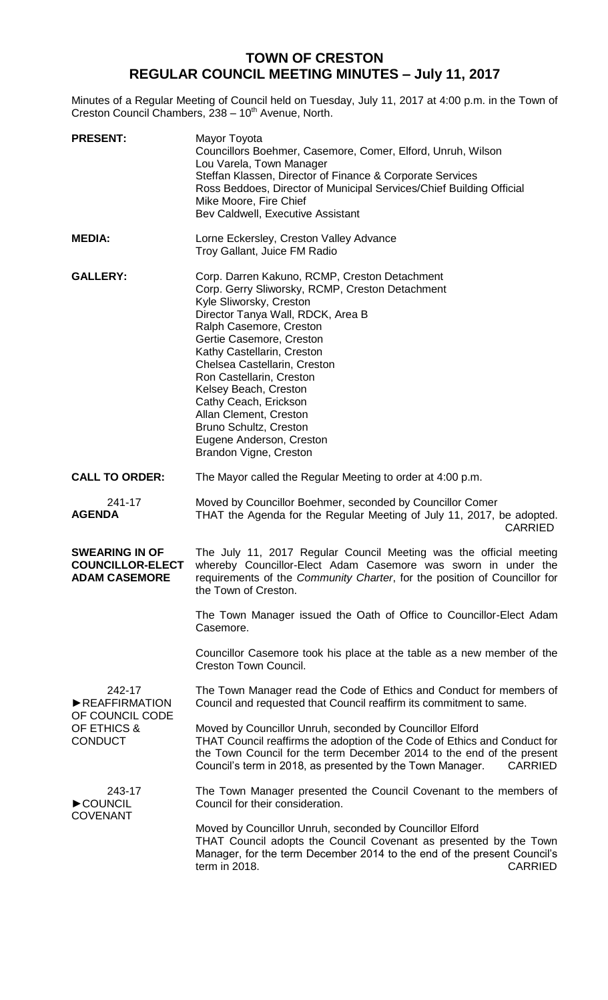## **TOWN OF CRESTON REGULAR COUNCIL MEETING MINUTES – July 11, 2017**

Minutes of a Regular Meeting of Council held on Tuesday, July 11, 2017 at 4:00 p.m. in the Town of Creston Council Chambers, 238 - 10<sup>th</sup> Avenue, North.

| <b>PRESENT:</b>                                                             | Mayor Toyota<br>Councillors Boehmer, Casemore, Comer, Elford, Unruh, Wilson<br>Lou Varela, Town Manager<br>Steffan Klassen, Director of Finance & Corporate Services<br>Ross Beddoes, Director of Municipal Services/Chief Building Official<br>Mike Moore, Fire Chief<br>Bev Caldwell, Executive Assistant                                                                                                                                                                   |
|-----------------------------------------------------------------------------|-------------------------------------------------------------------------------------------------------------------------------------------------------------------------------------------------------------------------------------------------------------------------------------------------------------------------------------------------------------------------------------------------------------------------------------------------------------------------------|
| <b>MEDIA:</b>                                                               | Lorne Eckersley, Creston Valley Advance<br>Troy Gallant, Juice FM Radio                                                                                                                                                                                                                                                                                                                                                                                                       |
| <b>GALLERY:</b>                                                             | Corp. Darren Kakuno, RCMP, Creston Detachment<br>Corp. Gerry Sliworsky, RCMP, Creston Detachment<br>Kyle Sliworsky, Creston<br>Director Tanya Wall, RDCK, Area B<br>Ralph Casemore, Creston<br>Gertie Casemore, Creston<br>Kathy Castellarin, Creston<br>Chelsea Castellarin, Creston<br>Ron Castellarin, Creston<br>Kelsey Beach, Creston<br>Cathy Ceach, Erickson<br>Allan Clement, Creston<br>Bruno Schultz, Creston<br>Eugene Anderson, Creston<br>Brandon Vigne, Creston |
| <b>CALL TO ORDER:</b>                                                       | The Mayor called the Regular Meeting to order at 4:00 p.m.                                                                                                                                                                                                                                                                                                                                                                                                                    |
| 241-17<br><b>AGENDA</b>                                                     | Moved by Councillor Boehmer, seconded by Councillor Comer<br>THAT the Agenda for the Regular Meeting of July 11, 2017, be adopted.<br><b>CARRIED</b>                                                                                                                                                                                                                                                                                                                          |
| <b>SWEARING IN OF</b><br><b>COUNCILLOR-ELECT</b><br><b>ADAM CASEMORE</b>    | The July 11, 2017 Regular Council Meeting was the official meeting<br>whereby Councillor-Elect Adam Casemore was sworn in under the<br>requirements of the Community Charter, for the position of Councillor for<br>the Town of Creston.                                                                                                                                                                                                                                      |
|                                                                             | The Town Manager issued the Oath of Office to Councillor-Elect Adam<br>Casemore.                                                                                                                                                                                                                                                                                                                                                                                              |
|                                                                             | Councillor Casemore took his place at the table as a new member of the<br>Creston Town Council.                                                                                                                                                                                                                                                                                                                                                                               |
| 242-17<br>REAFFIRMATION<br>OF COUNCIL CODE<br>OF ETHICS &<br><b>CONDUCT</b> | The Town Manager read the Code of Ethics and Conduct for members of<br>Council and requested that Council reaffirm its commitment to same.                                                                                                                                                                                                                                                                                                                                    |
|                                                                             | Moved by Councillor Unruh, seconded by Councillor Elford<br>THAT Council reaffirms the adoption of the Code of Ethics and Conduct for<br>the Town Council for the term December 2014 to the end of the present<br>Council's term in 2018, as presented by the Town Manager.<br><b>CARRIED</b>                                                                                                                                                                                 |
| 243-17<br>COUNCIL<br><b>COVENANT</b>                                        | The Town Manager presented the Council Covenant to the members of<br>Council for their consideration.                                                                                                                                                                                                                                                                                                                                                                         |
|                                                                             | Moved by Councillor Unruh, seconded by Councillor Elford<br>THAT Council adopts the Council Covenant as presented by the Town<br>Manager, for the term December 2014 to the end of the present Council's<br>term in 2018.<br><b>CARRIED</b>                                                                                                                                                                                                                                   |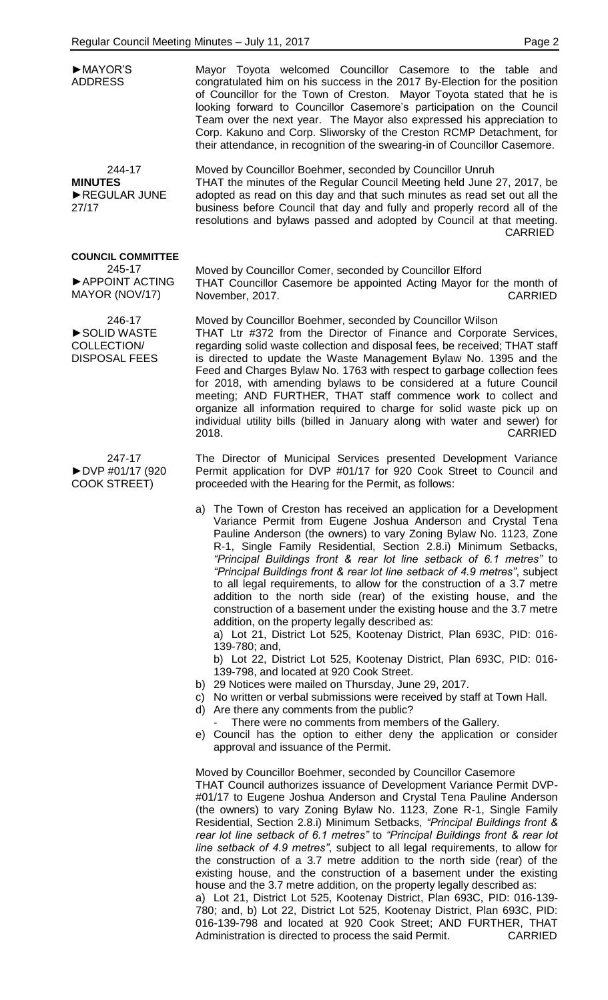| MAYOR'S<br><b>ADDRESS</b>                                              | Mayor Toyota welcomed Councillor Casemore to the table and<br>congratulated him on his success in the 2017 By-Election for the position<br>of Councillor for the Town of Creston. Mayor Toyota stated that he is<br>looking forward to Councillor Casemore's participation on the Council<br>Team over the next year. The Mayor also expressed his appreciation to<br>Corp. Kakuno and Corp. Sliworsky of the Creston RCMP Detachment, for<br>their attendance, in recognition of the swearing-in of Councillor Casemore.                                                                                                                                                                   |
|------------------------------------------------------------------------|---------------------------------------------------------------------------------------------------------------------------------------------------------------------------------------------------------------------------------------------------------------------------------------------------------------------------------------------------------------------------------------------------------------------------------------------------------------------------------------------------------------------------------------------------------------------------------------------------------------------------------------------------------------------------------------------|
| 244-17<br><b>MINUTES</b><br>REGULAR JUNE<br>27/17                      | Moved by Councillor Boehmer, seconded by Councillor Unruh<br>THAT the minutes of the Regular Council Meeting held June 27, 2017, be<br>adopted as read on this day and that such minutes as read set out all the<br>business before Council that day and fully and properly record all of the<br>resolutions and bylaws passed and adopted by Council at that meeting.<br><b>CARRIED</b>                                                                                                                                                                                                                                                                                                    |
| <b>COUNCIL COMMITTEE</b><br>245-17<br>APPOINT ACTING                   | Moved by Councillor Comer, seconded by Councillor Elford<br>THAT Councillor Casemore be appointed Acting Mayor for the month of                                                                                                                                                                                                                                                                                                                                                                                                                                                                                                                                                             |
| MAYOR (NOV/17)                                                         | <b>CARRIED</b><br>November, 2017.                                                                                                                                                                                                                                                                                                                                                                                                                                                                                                                                                                                                                                                           |
| 246-17<br>SOLID WASTE<br>COLLECTION/<br><b>DISPOSAL FEES</b>           | Moved by Councillor Boehmer, seconded by Councillor Wilson<br>THAT Ltr #372 from the Director of Finance and Corporate Services,<br>regarding solid waste collection and disposal fees, be received; THAT staff<br>is directed to update the Waste Management Bylaw No. 1395 and the<br>Feed and Charges Bylaw No. 1763 with respect to garbage collection fees<br>for 2018, with amending bylaws to be considered at a future Council<br>meeting; AND FURTHER, THAT staff commence work to collect and<br>organize all information required to charge for solid waste pick up on<br>individual utility bills (billed in January along with water and sewer) for<br>2018.<br><b>CARRIED</b> |
| 247-17<br>$\blacktriangleright$ DVP #01/17 (920<br><b>COOK STREET)</b> | The Director of Municipal Services presented Development Variance<br>Permit application for DVP #01/17 for 920 Cook Street to Council and<br>proceeded with the Hearing for the Permit, as follows:                                                                                                                                                                                                                                                                                                                                                                                                                                                                                         |
|                                                                        | a) The Town of Creston has received an application for a Development<br>Variance Permit from Eugene Joshua Anderson and Crystal Tena<br>Pauline Anderson (the owners) to vary Zoning Bylaw No. 1123, Zone<br>R-1, Single Family Residential, Section 2.8.i) Minimum Setbacks,<br>"Principal Buildings front & rear lot line setback of 6.1 metres" to<br>"Principal Buildings front & rear lot line setback of 4.9 metres", subject<br>to all legal requirements, to allow for the construction of a 3.7 metre<br>addition to the north side (rear) of the existing house, and the                                                                                                          |

construction of a basement under the existing house and the 3.7 metre addition, on the property legally described as:

a) Lot 21, District Lot 525, Kootenay District, Plan 693C, PID: 016- 139-780; and,

b) Lot 22, District Lot 525, Kootenay District, Plan 693C, PID: 016- 139-798, and located at 920 Cook Street.

- b) 29 Notices were mailed on Thursday, June 29, 2017.
- c) No written or verbal submissions were received by staff at Town Hall.
- d) Are there any comments from the public?
- There were no comments from members of the Gallery.
- e) Council has the option to either deny the application or consider approval and issuance of the Permit.

Moved by Councillor Boehmer, seconded by Councillor Casemore THAT Council authorizes issuance of Development Variance Permit DVP- #01/17 to Eugene Joshua Anderson and Crystal Tena Pauline Anderson (the owners) to vary Zoning Bylaw No. 1123, Zone R-1, Single Family Residential, Section 2.8.i) Minimum Setbacks, *"Principal Buildings front & rear lot line setback of 6.1 metres"* to *"Principal Buildings front & rear lot line setback of 4.9 metres"*, subject to all legal requirements, to allow for the construction of a 3.7 metre addition to the north side (rear) of the existing house, and the construction of a basement under the existing house and the 3.7 metre addition, on the property legally described as: a) Lot 21, District Lot 525, Kootenay District, Plan 693C, PID: 016-139-

780; and, b) Lot 22, District Lot 525, Kootenay District, Plan 693C, PID: 016-139-798 and located at 920 Cook Street; AND FURTHER, THAT Administration is directed to process the said Permit. CARRIED